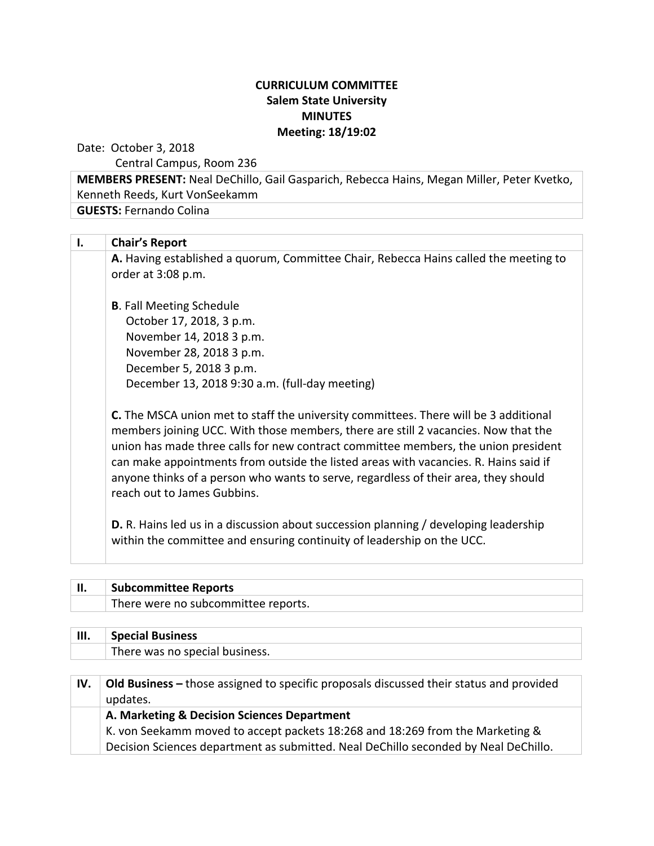## **CURRICULUM COMMITTEE Salem State University MINUTES Meeting: 18/19:02**

Date: October 3, 2018

Central Campus, Room 236

**MEMBERS PRESENT:** Neal DeChillo, Gail Gasparich, Rebecca Hains, Megan Miller, Peter Kvetko, Kenneth Reeds, Kurt VonSeekamm **GUESTS: Fernando Colina** 

**I. Chair's Report** A. Having established a quorum, Committee Chair, Rebecca Hains called the meeting to order at 3:08 p.m. **B.** Fall Meeting Schedule October 17, 2018, 3 p.m. November 14, 2018 3 p.m. November 28, 2018 3 p.m. December 5, 2018 3 p.m. December 13, 2018 9:30 a.m. (full-day meeting)

**C.** The MSCA union met to staff the university committees. There will be 3 additional members joining UCC. With those members, there are still 2 vacancies. Now that the union has made three calls for new contract committee members, the union president can make appointments from outside the listed areas with vacancies. R. Hains said if anyone thinks of a person who wants to serve, regardless of their area, they should reach out to James Gubbins.

**D.** R. Hains led us in a discussion about succession planning / developing leadership within the committee and ensuring continuity of leadership on the UCC.

| II. | <b>Subcommittee Reports</b>         |
|-----|-------------------------------------|
|     | There were no subcommittee reports. |
|     |                                     |

| III. | <b>Special Business</b>                                                                             |  |
|------|-----------------------------------------------------------------------------------------------------|--|
|      | There was no special business.                                                                      |  |
|      |                                                                                                     |  |
| IV.  | Old Business – those assigned to specific proposals discussed their status and provided<br>updates. |  |
|      | A. Marketing & Decision Sciences Department                                                         |  |
|      | K. von Seekamm moved to accept packets 18:268 and 18:269 from the Marketing &                       |  |
|      | Decision Sciences department as submitted. Neal DeChillo seconded by Neal DeChillo.                 |  |